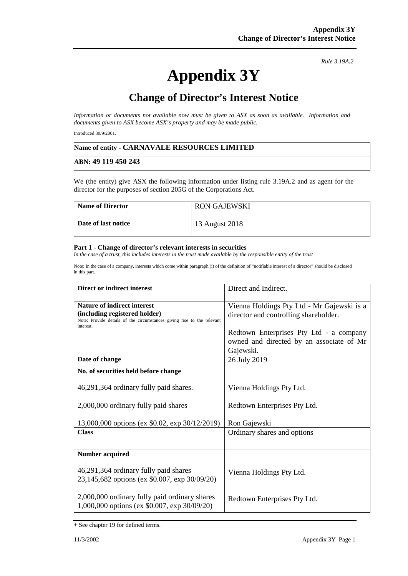# **Appendix 3Y**

*Rule 3.19A.2*

# **Change of Director's Interest Notice**

*Information or documents not available now must be given to ASX as soon as available. Information and documents given to ASX become ASX's property and may be made public.* 

Introduced 30/9/2001.

#### **Name of entity - CARNAVALE RESOURCES LIMITED**

#### **ABN: 49 119 450 243**

We (the entity) give ASX the following information under listing rule 3.19A.2 and as agent for the director for the purposes of section 205G of the Corporations Act.

| <b>Name of Director</b> | <b>RON GAJEWSKI</b> |
|-------------------------|---------------------|
| Date of last notice     | 13 August 2018      |

#### **Part 1 - Change of director's relevant interests in securities**

In the case of a trust, this includes interests in the trust made available by the responsible entity of the trust

Note: In the case of a company, interests which come within paragraph (i) of the definition of "notifiable interest of a director" should be disclosed in this part.

| Direct or indirect interest                                                                             | Direct and Indirect.                       |
|---------------------------------------------------------------------------------------------------------|--------------------------------------------|
| <b>Nature of indirect interest</b>                                                                      | Vienna Holdings Pty Ltd - Mr Gajewski is a |
| (including registered holder)<br>Note: Provide details of the circumstances giving rise to the relevant | director and controlling shareholder.      |
| interest.                                                                                               |                                            |
|                                                                                                         | Redtown Enterprises Pty Ltd - a company    |
|                                                                                                         | owned and directed by an associate of Mr   |
|                                                                                                         | Gajewski.                                  |
| Date of change                                                                                          | 26 July 2019                               |
| No. of securities held before change                                                                    |                                            |
| 46,291,364 ordinary fully paid shares.                                                                  | Vienna Holdings Pty Ltd.                   |
| 2,000,000 ordinary fully paid shares                                                                    | Redtown Enterprises Pty Ltd.               |
| 13,000,000 options (ex \$0.02, exp 30/12/2019)                                                          | Ron Gajewski                               |
| <b>Class</b>                                                                                            | Ordinary shares and options                |
|                                                                                                         |                                            |
| <b>Number acquired</b>                                                                                  |                                            |
| 46,291,364 ordinary fully paid shares                                                                   | Vienna Holdings Pty Ltd.                   |
| 23,145,682 options (ex \$0.007, exp 30/09/20)                                                           |                                            |
| 2,000,000 ordinary fully paid ordinary shares<br>1,000,000 options (ex \$0.007, exp 30/09/20)           | Redtown Enterprises Pty Ltd.               |

<sup>+</sup> See chapter 19 for defined terms.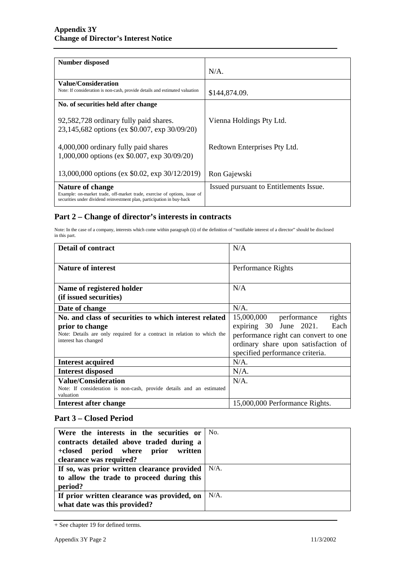| <b>Number disposed</b>                                                                                                                              |                                        |
|-----------------------------------------------------------------------------------------------------------------------------------------------------|----------------------------------------|
|                                                                                                                                                     | $N/A$ .                                |
| Value/Consideration                                                                                                                                 |                                        |
| Note: If consideration is non-cash, provide details and estimated valuation                                                                         | \$144,874.09.                          |
| No. of securities held after change                                                                                                                 |                                        |
| 92,582,728 ordinary fully paid shares.                                                                                                              | Vienna Holdings Pty Ltd.               |
| 23,145,682 options (ex \$0.007, exp 30/09/20)                                                                                                       |                                        |
|                                                                                                                                                     |                                        |
| 4,000,000 ordinary fully paid shares                                                                                                                | Redtown Enterprises Pty Ltd.           |
| 1,000,000 options (ex \$0.007, exp 30/09/20)                                                                                                        |                                        |
| 13,000,000 options (ex \$0.02, exp 30/12/2019)                                                                                                      | Ron Gajewski                           |
|                                                                                                                                                     |                                        |
| Nature of change                                                                                                                                    | Issued pursuant to Entitlements Issue. |
| Example: on-market trade, off-market trade, exercise of options, issue of<br>securities under dividend reinvestment plan, participation in buy-back |                                        |

## **Part 2 – Change of director's interests in contracts**

Note: In the case of a company, interests which come within paragraph (ii) of the definition of "notifiable interest of a director" should be disclosed in this part.

| <b>Detail of contract</b>                                                                                          | N/A                                                                                                                                              |
|--------------------------------------------------------------------------------------------------------------------|--------------------------------------------------------------------------------------------------------------------------------------------------|
|                                                                                                                    |                                                                                                                                                  |
| <b>Nature of interest</b>                                                                                          | Performance Rights                                                                                                                               |
|                                                                                                                    |                                                                                                                                                  |
| Name of registered holder                                                                                          | N/A                                                                                                                                              |
| (if issued securities)                                                                                             |                                                                                                                                                  |
| Date of change                                                                                                     | $N/A$ .                                                                                                                                          |
| No. and class of securities to which interest related                                                              | 15,000,000<br>rights<br>performance                                                                                                              |
| prior to change<br>Note: Details are only required for a contract in relation to which the<br>interest has changed | Each<br>expiring 30 June 2021.<br>performance right can convert to one<br>ordinary share upon satisfaction of<br>specified performance criteria. |
| <b>Interest acquired</b>                                                                                           | $N/A$ .                                                                                                                                          |
| <b>Interest disposed</b>                                                                                           | $N/A$ .                                                                                                                                          |
| <b>Value/Consideration</b>                                                                                         | $N/A$ .                                                                                                                                          |
| Note: If consideration is non-cash, provide details and an estimated<br>valuation                                  |                                                                                                                                                  |
| Interest after change                                                                                              | 15,000,000 Performance Rights.                                                                                                                   |

## **Part 3 – Closed Period**

| Were the interests in the securities or<br>contracts detailed above traded during a<br>+closed period where prior<br>written<br>clearance was required? | No.     |
|---------------------------------------------------------------------------------------------------------------------------------------------------------|---------|
| If so, was prior written clearance provided<br>to allow the trade to proceed during this<br>period?                                                     | $N/A$ . |
| If prior written clearance was provided, on<br>what date was this provided?                                                                             | $N/A$ . |

<sup>+</sup> See chapter 19 for defined terms.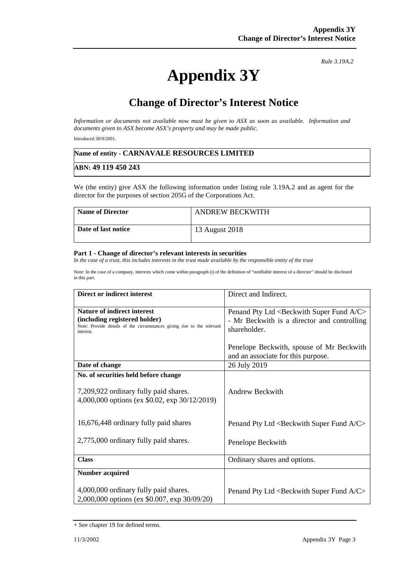# **Appendix 3Y**

*Rule 3.19A.2*

# **Change of Director's Interest Notice**

*Information or documents not available now must be given to ASX as soon as available. Information and documents given to ASX become ASX's property and may be made public.* 

Introduced 30/9/2001.

#### **Name of entity - CARNAVALE RESOURCES LIMITED**

#### **ABN: 49 119 450 243**

We (the entity) give ASX the following information under listing rule 3.19A.2 and as agent for the director for the purposes of section 205G of the Corporations Act.

| <b>Name of Director</b> | <b>ANDREW BECKWITH</b> |
|-------------------------|------------------------|
| Date of last notice     | 13 August 2018         |

#### **Part 1 - Change of director's relevant interests in securities**

*In the case of a trust, this includes interests in the trust made available by the responsible entity of the trust* 

Note: In the case of a company, interests which come within paragraph (i) of the definition of "notifiable interest of a director" should be disclosed in this part.

| Direct or indirect interest                                                                             | Direct and Indirect.                                            |
|---------------------------------------------------------------------------------------------------------|-----------------------------------------------------------------|
| <b>Nature of indirect interest</b>                                                                      | Penand Pty Ltd <beckwith a="" c="" fund="" super=""></beckwith> |
| (including registered holder)<br>Note: Provide details of the circumstances giving rise to the relevant | - Mr Beckwith is a director and controlling                     |
| interest.                                                                                               | shareholder.                                                    |
|                                                                                                         | Penelope Beckwith, spouse of Mr Beckwith                        |
|                                                                                                         | and an associate for this purpose.                              |
| Date of change                                                                                          | 26 July 2019                                                    |
| No. of securities held before change                                                                    |                                                                 |
| 7,209,922 ordinary fully paid shares.                                                                   | Andrew Beckwith                                                 |
| 4,000,000 options (ex \$0.02, exp 30/12/2019)                                                           |                                                                 |
|                                                                                                         |                                                                 |
| 16,676,448 ordinary fully paid shares                                                                   | Penand Pty Ltd <beckwith a="" c="" fund="" super=""></beckwith> |
|                                                                                                         |                                                                 |
| 2,775,000 ordinary fully paid shares.                                                                   | Penelope Beckwith                                               |
|                                                                                                         |                                                                 |
| <b>Class</b>                                                                                            | Ordinary shares and options.                                    |
| <b>Number acquired</b>                                                                                  |                                                                 |
|                                                                                                         |                                                                 |
| 4,000,000 ordinary fully paid shares.                                                                   | Penand Pty Ltd <beckwith a="" c="" fund="" super=""></beckwith> |
| 2,000,000 options (ex \$0.007, exp 30/09/20)                                                            |                                                                 |

<sup>+</sup> See chapter 19 for defined terms.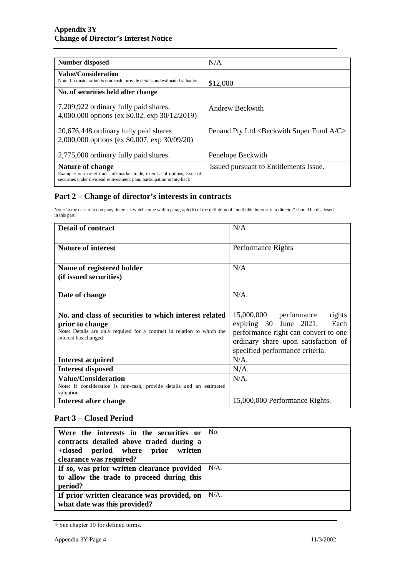| <b>Number disposed</b>                                                                                                                                                  | N/A                                                             |
|-------------------------------------------------------------------------------------------------------------------------------------------------------------------------|-----------------------------------------------------------------|
| Value/Consideration<br>Note: If consideration is non-cash, provide details and estimated valuation                                                                      | \$12,000                                                        |
| No. of securities held after change                                                                                                                                     |                                                                 |
| 7,209,922 ordinary fully paid shares.<br>4,000,000 options (ex \$0.02, exp 30/12/2019)                                                                                  | Andrew Beckwith                                                 |
| 20,676,448 ordinary fully paid shares<br>2,000,000 options (ex \$0.007, exp 30/09/20)                                                                                   | Penand Pty Ltd <beckwith a="" c="" fund="" super=""></beckwith> |
| 2,775,000 ordinary fully paid shares.                                                                                                                                   | Penelope Beckwith                                               |
| Nature of change<br>Example: on-market trade, off-market trade, exercise of options, issue of<br>securities under dividend reinvestment plan, participation in buy-back | Issued pursuant to Entitlements Issue.                          |

### **Part 2 – Change of director's interests in contracts**

Note: In the case of a company, interests which come within paragraph (ii) of the definition of "notifiable interest of a director" should be disclosed in this part.

| <b>Detail of contract</b>                                                                                          | N/A                                                                                                                                              |
|--------------------------------------------------------------------------------------------------------------------|--------------------------------------------------------------------------------------------------------------------------------------------------|
| <b>Nature of interest</b>                                                                                          | Performance Rights                                                                                                                               |
| Name of registered holder<br>(if issued securities)                                                                | N/A                                                                                                                                              |
| Date of change                                                                                                     | $N/A$ .                                                                                                                                          |
| No. and class of securities to which interest related                                                              | 15,000,000<br>performance<br>rights                                                                                                              |
| prior to change<br>Note: Details are only required for a contract in relation to which the<br>interest has changed | expiring 30 June 2021.<br>Each<br>performance right can convert to one<br>ordinary share upon satisfaction of<br>specified performance criteria. |
| <b>Interest acquired</b>                                                                                           | $N/A$ .                                                                                                                                          |
| <b>Interest disposed</b>                                                                                           | $N/A$ .                                                                                                                                          |
| <b>Value/Consideration</b><br>Note: If consideration is non-cash, provide details and an estimated<br>valuation    | $N/A$ .                                                                                                                                          |
| Interest after change                                                                                              | 15,000,000 Performance Rights.                                                                                                                   |

## **Part 3 – Closed Period**

| Were the interests in the securities or<br>contracts detailed above traded during a<br>+closed period where prior written<br>clearance was required? | No.     |
|------------------------------------------------------------------------------------------------------------------------------------------------------|---------|
| If so, was prior written clearance provided<br>to allow the trade to proceed during this<br>period?                                                  | $N/A$ . |
| If prior written clearance was provided, on<br>what date was this provided?                                                                          | $N/A$ . |

<sup>+</sup> See chapter 19 for defined terms.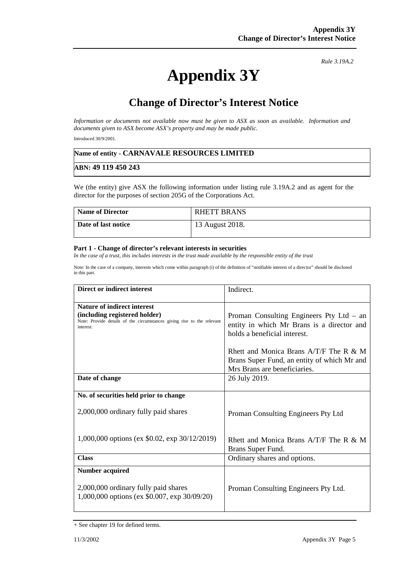# **Appendix 3Y**

*Rule 3.19A.2*

# **Change of Director's Interest Notice**

*Information or documents not available now must be given to ASX as soon as available. Information and documents given to ASX become ASX's property and may be made public.* 

Introduced 30/9/2001.

#### **Name of entity - CARNAVALE RESOURCES LIMITED**

#### **ABN: 49 119 450 243**

We (the entity) give ASX the following information under listing rule 3.19A.2 and as agent for the director for the purposes of section 205G of the Corporations Act.

| <b>Name of Director</b> | <b>RHETT BRANS</b> |
|-------------------------|--------------------|
| Date of last notice     | 13 August 2018.    |

#### **Part 1 - Change of director's relevant interests in securities**

*In the case of a trust, this includes interests in the trust made available by the responsible entity of the trust* 

Note: In the case of a company, interests which come within paragraph (i) of the definition of "notifiable interest of a director" should be disclosed in this part.

| <b>Direct or indirect interest</b>                                                                                                                         | Indirect.                                                                                                                |
|------------------------------------------------------------------------------------------------------------------------------------------------------------|--------------------------------------------------------------------------------------------------------------------------|
| <b>Nature of indirect interest</b><br>(including registered holder)<br>Note: Provide details of the circumstances giving rise to the relevant<br>interest. | Proman Consulting Engineers Pty Ltd $-$ an<br>entity in which Mr Brans is a director and<br>holds a beneficial interest. |
|                                                                                                                                                            | Rhett and Monica Brans $A/T/F$ The R & M<br>Brans Super Fund, an entity of which Mr and<br>Mrs Brans are beneficiaries.  |
| Date of change                                                                                                                                             | 26 July 2019.                                                                                                            |
| No. of securities held prior to change                                                                                                                     |                                                                                                                          |
| 2,000,000 ordinary fully paid shares                                                                                                                       | Proman Consulting Engineers Pty Ltd                                                                                      |
| 1,000,000 options (ex \$0.02, exp 30/12/2019)                                                                                                              | Rhett and Monica Brans $A/T/F$ The R & M<br>Brans Super Fund.                                                            |
| <b>Class</b>                                                                                                                                               | Ordinary shares and options.                                                                                             |
| <b>Number acquired</b><br>2,000,000 ordinary fully paid shares<br>1,000,000 options (ex \$0.007, exp 30/09/20)                                             | Proman Consulting Engineers Pty Ltd.                                                                                     |

<sup>+</sup> See chapter 19 for defined terms.